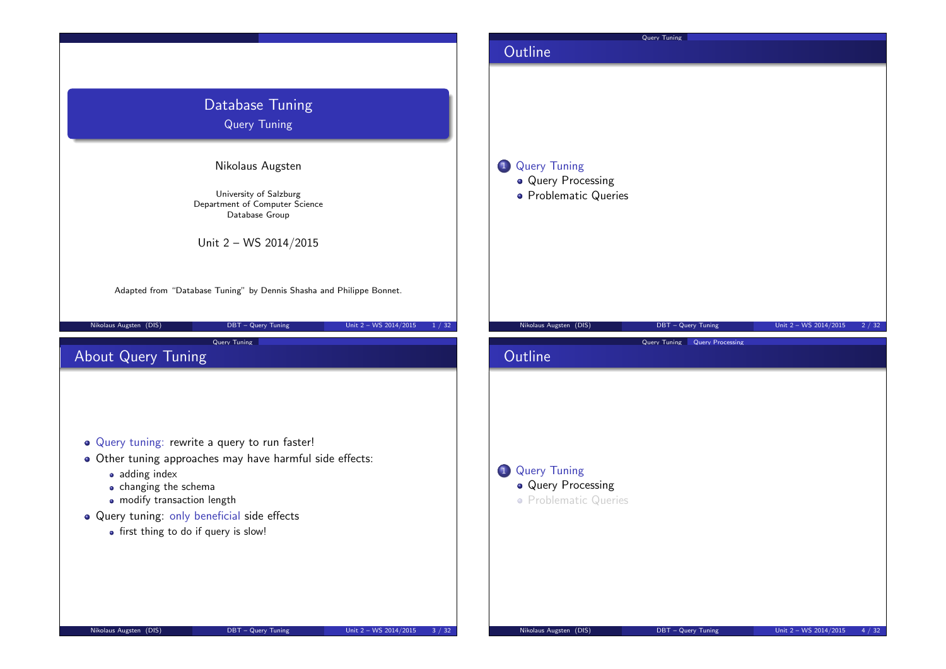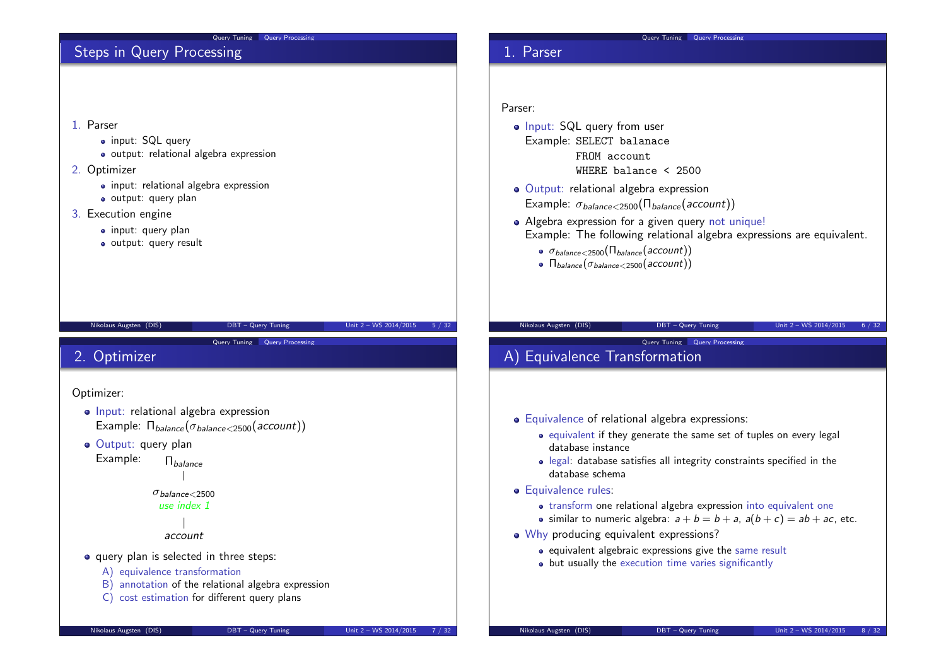#### Query Tuning Query Processing Steps in Query Processing 1. Parser • input: SQL query output: relational algebra expression 2. Optimizer • input: relational algebra expression output: query plan 3. Execution engine • input: query plan output: query result Nikolaus Augsten (DIS) DBT – Query Tuning Unit 2 – WS 2014/2015 5 / 32 Query Processing 1. Parser Parser: • Input: SQL query from user Example: SELECT balanace FROM account WHERE balance < 2500 • Output: relational algebra expression Example:  $\sigma_{\text{balance} < 2500}(\Pi_{\text{balance}}(\text{account}))$ • Algebra expression for a given query not unique! Example: The following relational algebra expressions are equivalent.  $\bullet$   $\sigma_{\text{balance} < 2500}(\Pi_{\text{balance}}(\text{account}))$  $\bullet$   $\Pi_{\text{balance}}(\sigma_{\text{balance}<2500}(\text{account}))$ Nikolaus Augsten (DIS) DBT – Query Tuning Unit 2 – WS 2014/2015 6 / 32 Query Tuning Query Processing 2. Optimizer Optimizer: • Input: relational algebra expression Example:  $\Pi_{balance}(\sigma_{balance} \leq 2500(\text{account}))$ · Output: query plan Example: Π<sub>balance</sub>  $\sigma_{halance < 2500}$ use index 1 account • query plan is selected in three steps: Query Tuning Query Processing A) Equivalence Transformation Equivalence of relational algebra expressions: • equivalent if they generate the same set of tuples on every legal database instance legal: database satisfies all integrity constraints specified in the database schema **Equivalence rules:** • transform one relational algebra expression into equivalent one • similar to numeric algebra:  $a + b = b + a$ ,  $a(b + c) = ab + ac$ , etc. • Why producing equivalent expressions?  $\bullet$  equivalent algebraic expressions give the same result

• but usually the execution time varies significantly

A) equivalence transformation

B) annotation of the relational algebra expression C) cost estimation for different query plans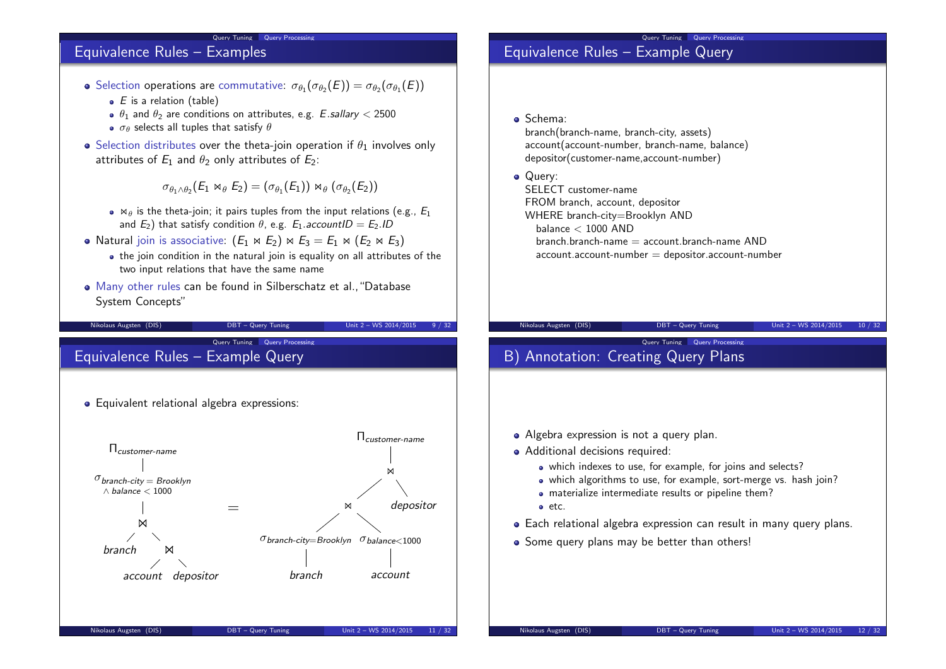## Equivalence Rules – Examples

Selection operations are commutative:  $\sigma_{\theta_1}(\sigma_{\theta_2}(E)) = \sigma_{\theta_2}(\sigma_{\theta_1}(E))$ 

Query Tuning Query Processing

- $\bullet$  E is a relation (table)
- $\theta_1$  and  $\theta_2$  are conditions on attributes, e.g. E.sallary < 2500
- $\bullet$   $\sigma_{\theta}$  selects all tuples that satisfy  $\theta$
- Selection distributes over the theta-join operation if  $\theta_1$  involves only attributes of  $E_1$  and  $\theta_2$  only attributes of  $E_2$ :

 $\sigma_{\theta_1 \wedge \theta_2} (E_1 \bowtie_{\theta} E_2) = (\sigma_{\theta_1}(E_1)) \bowtie_{\theta} (\sigma_{\theta_2}(E_2))$ 

- $\bullet$   $\bowtie$  is the theta-join; it pairs tuples from the input relations (e.g.,  $E_1$ ) and  $E_2$ ) that satisfy condition  $\theta$ , e.g.  $E_1$  accountID =  $E_2$ .ID
- Natural join is associative:  $(E_1 \Join E_2) \Join E_3 = E_1 \Join (E_2 \Join E_3)$ 
	- the join condition in the natural join is equality on all attributes of the two input relations that have the same name

Nikolaus Augsten (DIS) DBT – Query Tuning Unit 2 – WS 2014/2015 9 / 32

Many other rules can be found in Silberschatz et al.,"Database System Concepts"

Query Tuning Query Processing Equivalence Rules – Example Query

**•** Equivalent relational algebra expressions:

Πcustomer-name  $\sigma_{branch-city}$  Brooklyn ∧ balance < 1000  $\bowtie$ hranch account depositor = Πcustomer-name  $\bowtie$ on  $\sigma$ branch-city=Brooklyn  $\sigma$ balance $<$ 1000 branch account depositor Nikolaus Augsten (DIS) DBT – Query Tuning Unit 2 – WS 2014/2015 11 / 32

## Query Tuning Query Processing Equivalence Rules – Example Query

Schema:

branch(branch-name, branch-city, assets) account(account-number, branch-name, balance) depositor(customer-name,account-number)

• Query:

SELECT customer-name FROM branch, account, depositor WHERE branch-city=Brooklyn AND balance  $<$  1000 AND  $branch\cdot branch\cdot name = account\cdot branch\cdot name$  AND  $account$ .account-number  $=$  depositor.account-number

Query Tuning Query Processing

#### Nikolaus Augsten (DIS) DBT – Query Tuning Unit 2 – WS 2014/2015 10 / 32

# B) Annotation: Creating Query Plans

- Algebra expression is not a query plan.
- Additional decisions required:
	- which indexes to use, for example, for joins and selects?
	- which algorithms to use, for example, sort-merge vs. hash join?
	- materialize intermediate results or pipeline them?
	- etc.
- Each relational algebra expression can result in many query plans.
- Some query plans may be better than others!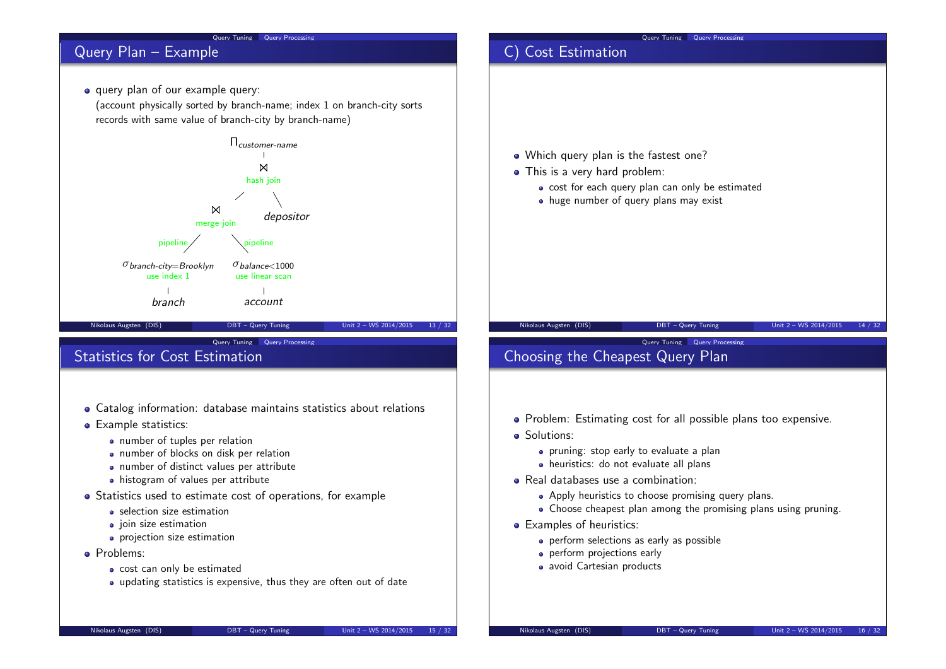

- Catalog information: database maintains statistics about relations
- **•** Example statistics:
	- number of tuples per relation
	- number of blocks on disk per relation
	- number of distinct values per attribute
	- histogram of values per attribute
- Statistics used to estimate cost of operations, for example
	- selection size estimation
	- $\bullet$  join size estimation
	- **•** projection size estimation
- **•** Problems:
	- cost can only be estimated
	- updating statistics is expensive, thus they are often out of date

• Solutions:

Choose cheapest plan among the promising plans using pruning.

• Problem: Estimating cost for all possible plans too expensive.

• Apply heuristics to choose promising query plans.

**•** pruning: stop early to evaluate a plan heuristics: do not evaluate all plans

**•** perform selections as early as possible

Real databases use a combination:

**•** perform projections early • avoid Cartesian products

**•** Examples of heuristics: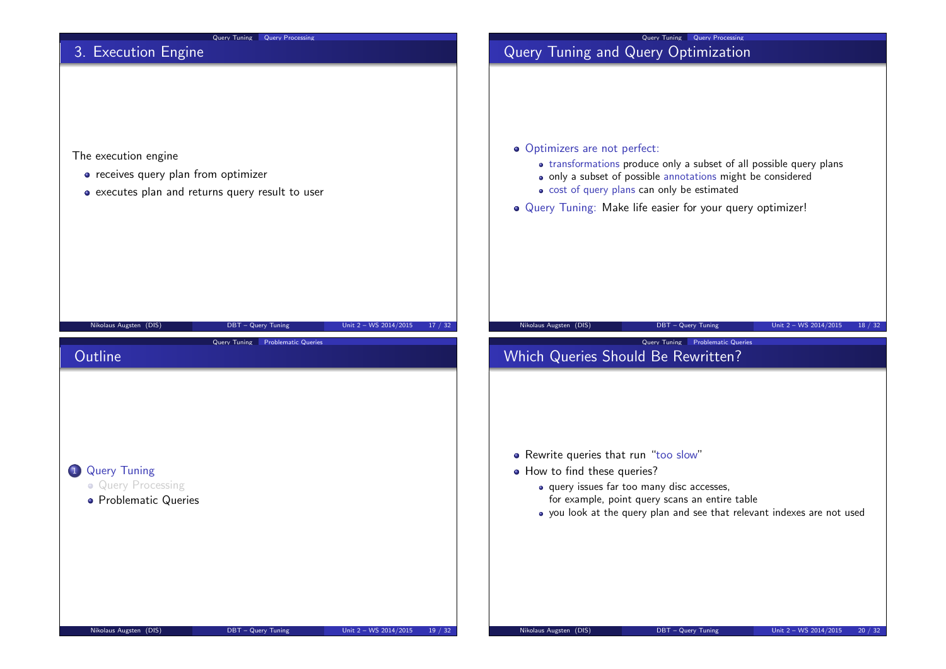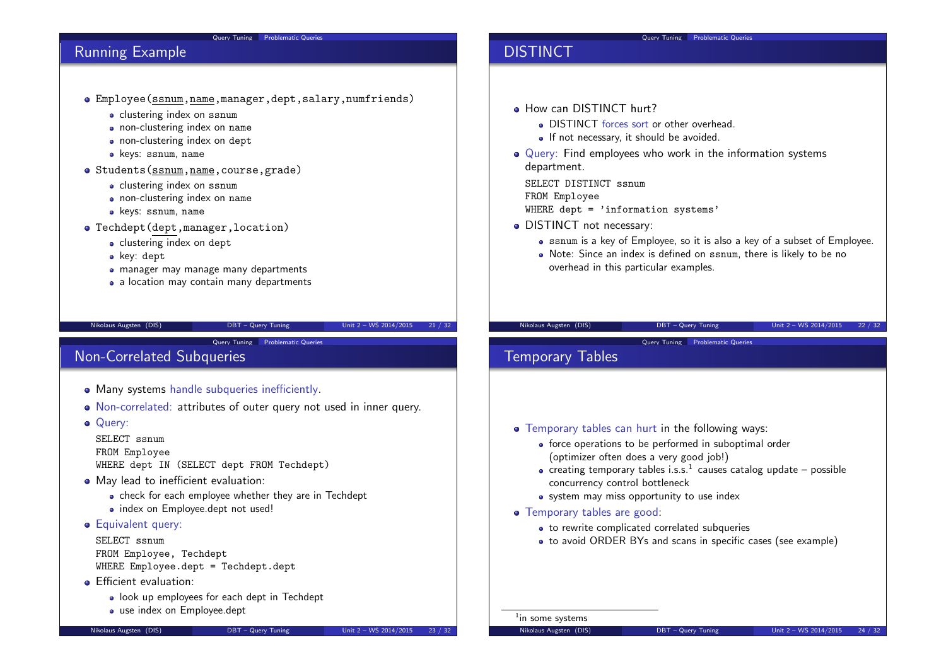### Query Tuning Problematic Queries

## Running Example

- Employee(ssnum,name,manager,dept,salary,numfriends)
	- clustering index on ssnum
	- non-clustering index on name
	- non-clustering index on dept
	- keys: ssnum, name
- Students(ssnum,name,course,grade)
	- clustering index on ssnum
	- non-clustering index on name
	- keys: ssnum, name
- Techdept(dept,manager,location)
	- clustering index on dept
	- key: dept
	- manager may manage many departments
	- a location may contain many departments

#### Nikolaus Augsten (DIS) DBT – Query Tuning Unit 2 – WS 2014/2015 21 / 32

Query Tuning Problematic Queries

## Non-Correlated Subqueries

- Many systems handle subqueries inefficiently.
- Non-correlated: attributes of outer query not used in inner query.
- Querv:

SELECT ssnum FROM Employee WHERE dept IN (SELECT dept FROM Techdept)

- May lead to inefficient evaluation:
	- check for each employee whether they are in Techdept • index on Employee.dept not used!
- **Equivalent query:**

SELECT ssnum FROM Employee, Techdept WHERE Employee.dept = Techdept.dept

- **•** Efficient evaluation:
	- look up employees for each dept in Techdept
	- use index on Employee.dept

Nikolaus Augsten (DIS) DBT – Query Tuning Unit 2 – WS 2014/2015 23 / 32

## DISTINCT

- **How can DISTINCT hurt?** 
	- DISTINCT forces sort or other overhead.
	- If not necessary, it should be avoided.
- Query: Find employees who work in the information systems department.

SELECT DISTINCT ssnum FROM Employee WHERE dept  $=$  'information systems'

- DISTINCT not necessary:
	- ssnum is a key of Employee, so it is also a key of a subset of Employee.
	- Note: Since an index is defined on ssnum, there is likely to be no overhead in this particular examples.

Query Tuning Problematic Queries

#### Nikolaus Augsten (DIS) DBT – Query Tuning Unit 2 – WS 2014/2015 22 / 32

Query Tuning Problematic Queries

## Temporary Tables

- Temporary tables can hurt in the following ways:
	- force operations to be performed in suboptimal order (optimizer often does a very good job!)
	- creating temporary tables i.s.s. $^1$  causes catalog update possible concurrency control bottleneck
	- system may miss opportunity to use index
- Temporary tables are good:
	- to rewrite complicated correlated subqueries
	- to avoid ORDER BYs and scans in specific cases (see example)

<sup>1</sup>in some systems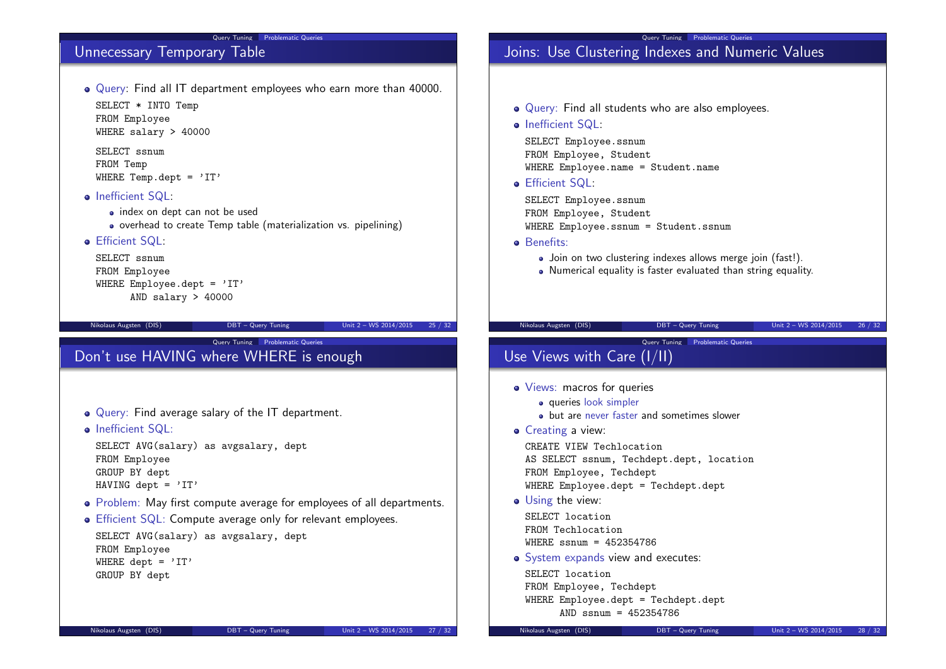### Query Tuning Problematic Queries

## Unnecessary Temporary Table

Query: Find all IT department employees who earn more than 40000. SELECT \* INTO Temp FROM Employee

WHERE salary > 40000

SELECT ssnum FROM Temp WHERE Temp.dept =  $'IT'$ 

- Inefficient SQL:
	- index on dept can not be used
	- overhead to create Temp table (materialization vs. pipelining)
- Efficient SQL:

```
SELECT ssnum
FROM Employee
WHERE Employee.dept = 'IT'
      AND salary > 40000
```
Nikolaus Augsten (DIS) DBT – Query Tuning Unit 2 – WS 2014/2015 25 / 32

Query Tuning Problematic Queries

## Don't use HAVING where WHERE is enough

- Query: Find average salary of the IT department.
- Inefficient SQL:

SELECT AVG(salary) as avgsalary, dept FROM Employee GROUP BY dept HAVING dept =  $'IT'$ 

- Problem: May first compute average for employees of all departments.
- **•** Efficient SQL: Compute average only for relevant employees.

```
SELECT AVG(salary) as avgsalary, dept
FROM Employee
WHERE dept = 'IT'GROUP BY dept
```
### Query Tuning Problematic Queries Joins: Use Clustering Indexes and Numeric Values

- Query: Find all students who are also employees.
- Inefficient SQL:

SELECT Employee.ssnum FROM Employee, Student WHERE Employee.name = Student.name

**•** Efficient SQL:

SELECT Employee.ssnum FROM Employee, Student WHERE Employee.ssnum = Student.ssnum

- **a** Benefits:
	- Join on two clustering indexes allows merge join (fast!).
	- Numerical equality is faster evaluated than string equality.

```
Nikolaus Augsten (DIS) DBT – Query Tuning Unit 2 – WS 2014/2015 26 / 32
```
Query Tuning Problematic Queries

```
Use Views with Care (I/II)
```
- Views: macros for queries
	- queries look simpler
	- but are never faster and sometimes slower
- Creating a view:

CREATE VIEW Techlocation AS SELECT ssnum, Techdept.dept, location FROM Employee, Techdept WHERE Employee.dept = Techdept.dept

• Using the view:

SELECT location FROM Techlocation  $WHERE$  ssnum = 452354786

• System expands view and executes:

SELECT location FROM Employee, Techdept WHERE Employee.dept = Techdept.dept AND ssnum = 452354786